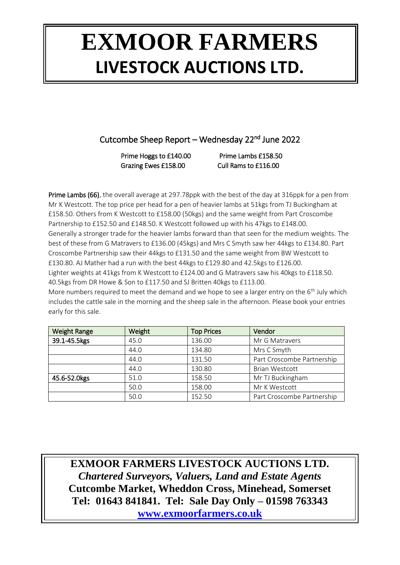Cutcombe Sheep Report – Wednesday 22<sup>nd</sup> June 2022

Prime Hoggs to £140.00 Prime Lambs £158.50 Grazing Ewes £158.00 Cull Rams to £116.00

Prime Lambs (66), the overall average at 297.78ppk with the best of the day at 316ppk for a pen from Mr K Westcott. The top price per head for a pen of heavier lambs at 51kgs from TJ Buckingham at £158.50. Others from K Westcott to £158.00 (50kgs) and the same weight from Part Croscombe Partnership to £152.50 and £148.50. K Westcott followed up with his 47kgs to £148.00. Generally a stronger trade for the heavier lambs forward than that seen for the medium weights. The best of these from G Matravers to £136.00 (45kgs) and Mrs C Smyth saw her 44kgs to £134.80. Part Croscombe Partnership saw their 44kgs to £131.50 and the same weight from BW Westcott to £130.80. AJ Mather had a run with the best 44kgs to £129.80 and 42.5kgs to £126.00. Lighter weights at 41kgs from K Westcott to £124.00 and G Matravers saw his 40kgs to £118.50. 40.5kgs from DR Howe & Son to £117.50 and SJ Britten 40kgs to £113.00. More numbers required to meet the demand and we hope to see a larger entry on the  $6<sup>th</sup>$  July which

includes the cattle sale in the morning and the sheep sale in the afternoon. Please book your entries early for this sale.

| <b>Weight Range</b> | Weight | <b>Top Prices</b> | Vendor                     |  |
|---------------------|--------|-------------------|----------------------------|--|
| 39.1-45.5kgs        | 45.0   | 136.00            | Mr G Matravers             |  |
|                     | 44.0   | 134.80            | Mrs C Smyth                |  |
|                     | 44.0   | 131.50            | Part Croscombe Partnership |  |
|                     | 44.0   | 130.80            | <b>Brian Westcott</b>      |  |
| 45.6-52.0kgs        | 51.0   | 158.50            | Mr TJ Buckingham           |  |
|                     | 50.0   | 158.00            | Mr K Westcott              |  |
|                     | 50.0   | 152.50            | Part Croscombe Partnership |  |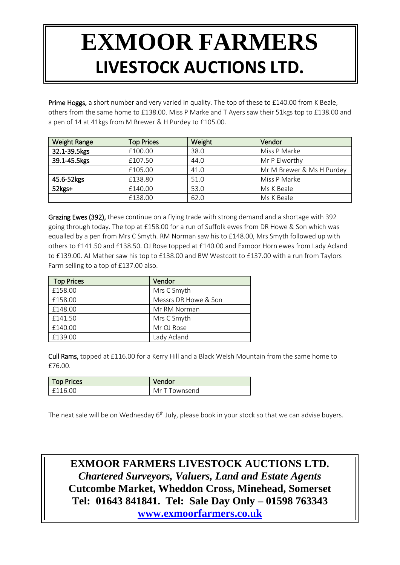Prime Hoggs, a short number and very varied in quality. The top of these to £140.00 from K Beale, others from the same home to £138.00. Miss P Marke and T Ayers saw their 51kgs top to £138.00 and a pen of 14 at 41kgs from M Brewer & H Purdey to £105.00.

| <b>Weight Range</b> | <b>Top Prices</b> | Weight                | Vendor                    |  |  |
|---------------------|-------------------|-----------------------|---------------------------|--|--|
| 32.1-39.5kgs        | £100.00           | 38.0                  | Miss P Marke              |  |  |
| 39.1-45.5kgs        | £107.50           | Mr P Elworthy<br>44.0 |                           |  |  |
|                     | £105.00           | 41.0                  | Mr M Brewer & Ms H Purdey |  |  |
| 45.6-52kgs          | £138.80           | 51.0                  | Miss P Marke              |  |  |
| 52kgs+              | £140.00           | 53.0                  | Ms K Beale                |  |  |
|                     | £138.00           | 62.0                  | Ms K Beale                |  |  |

Grazing Ewes (392), these continue on a flying trade with strong demand and a shortage with 392 going through today. The top at £158.00 for a run of Suffolk ewes from DR Howe & Son which was equalled by a pen from Mrs C Smyth. RM Norman saw his to £148.00, Mrs Smyth followed up with others to £141.50 and £138.50. OJ Rose topped at £140.00 and Exmoor Horn ewes from Lady Acland to £139.00. AJ Mather saw his top to £138.00 and BW Westcott to £137.00 with a run from Taylors Farm selling to a top of £137.00 also.

| <b>Top Prices</b> | Vendor               |
|-------------------|----------------------|
| £158.00           | Mrs C Smyth          |
| £158.00           | Messrs DR Howe & Son |
| £148.00           | Mr RM Norman         |
| £141.50           | Mrs C Smyth          |
| £140.00           | Mr OJ Rose           |
| £139.00           | Lady Acland          |

Cull Rams, topped at £116.00 for a Kerry Hill and a Black Welsh Mountain from the same home to £76.00.

| <b>Top Prices</b> | Vendor        |
|-------------------|---------------|
| £116.00           | Mr T Townsend |

The next sale will be on Wednesday 6<sup>th</sup> July, please book in your stock so that we can advise buyers.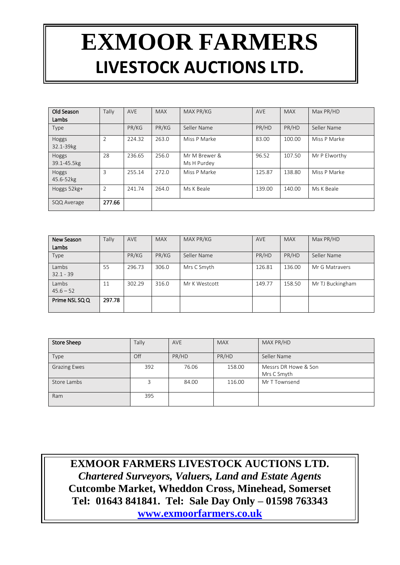| Old Season<br>Lambs  | Tally          | <b>AVE</b> | <b>MAX</b> | MAX PR/KG                    | <b>AVE</b> | <b>MAX</b> | Max PR/HD     |
|----------------------|----------------|------------|------------|------------------------------|------------|------------|---------------|
| Type                 |                | PR/KG      | PR/KG      | Seller Name                  | PR/HD      | PR/HD      | Seller Name   |
| Hoggs<br>32.1-39kg   | $\overline{2}$ | 224.32     | 263.0      | Miss P Marke                 | 83.00      | 100.00     | Miss P Marke  |
| Hoggs<br>39.1-45.5kg | 28             | 236.65     | 256.0      | Mr M Brewer &<br>Ms H Purdey | 96.52      | 107.50     | Mr P Elworthy |
| Hoggs<br>45.6-52kg   | 3              | 255.14     | 272.0      | Miss P Marke                 | 125.87     | 138.80     | Miss P Marke  |
| Hoggs 52kg+          | $\overline{2}$ | 241.74     | 264.0      | Ms K Beale                   | 139.00     | 140.00     | Ms K Beale    |
| SQQ Average          | 277.66         |            |            |                              |            |            |               |

| New Season           | Tally  | <b>AVE</b> | <b>MAX</b> | MAX PR/KG     | <b>AVE</b> | <b>MAX</b> | Max PR/HD        |
|----------------------|--------|------------|------------|---------------|------------|------------|------------------|
| Lambs                |        |            |            |               |            |            |                  |
| Type                 |        | PR/KG      | PR/KG      | Seller Name   | PR/HD      | PR/HD      | Seller Name      |
| Lambs<br>$32.1 - 39$ | 55     | 296.73     | 306.0      | Mrs C Smyth   | 126.81     | 136.00     | Mr G Matravers   |
| Lambs<br>$45.6 - 52$ | 11     | 302.29     | 316.0      | Mr K Westcott | 149.77     | 158.50     | Mr TJ Buckingham |
| Prime NSL SQ Q       | 297.78 |            |            |               |            |            |                  |

| <b>Store Sheep</b>  | Tally | <b>AVE</b> | <b>MAX</b> | MAX PR/HD                           |
|---------------------|-------|------------|------------|-------------------------------------|
| Type                | Off   | PR/HD      | PR/HD      | Seller Name                         |
| <b>Grazing Ewes</b> | 392   | 76.06      | 158.00     | Messrs DR Howe & Son<br>Mrs C Smyth |
| Store Lambs         |       | 84.00      | 116.00     | Mr T Townsend                       |
| Ram                 | 395   |            |            |                                     |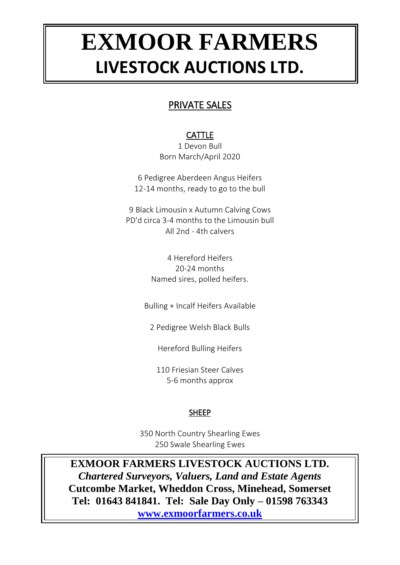### PRIVATE SALES

### CATTLE

1 Devon Bull Born March/April 2020

6 Pedigree Aberdeen Angus Heifers 12-14 months, ready to go to the bull

9 Black Limousin x Autumn Calving Cows PD'd circa 3-4 months to the Limousin bull All 2nd - 4th calvers

> 4 Hereford Heifers 20-24 months Named sires, polled heifers.

Bulling + Incalf Heifers Available

2 Pedigree Welsh Black Bulls

Hereford Bulling Heifers

110 Friesian Steer Calves 5-6 months approx

#### SHEEP

350 North Country Shearling Ewes 250 Swale Shearling Ewes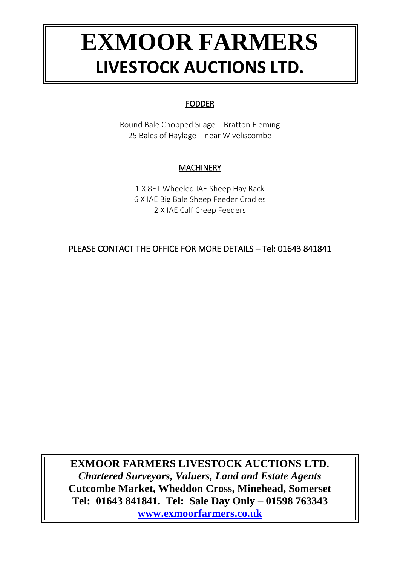#### FODDER

Round Bale Chopped Silage – Bratton Fleming 25 Bales of Haylage – near Wiveliscombe

### **MACHINERY**

1 X 8FT Wheeled IAE Sheep Hay Rack 6 X IAE Big Bale Sheep Feeder Cradles 2 X IAE Calf Creep Feeders

PLEASE CONTACT THE OFFICE FOR MORE DETAILS – Tel: 01643 841841